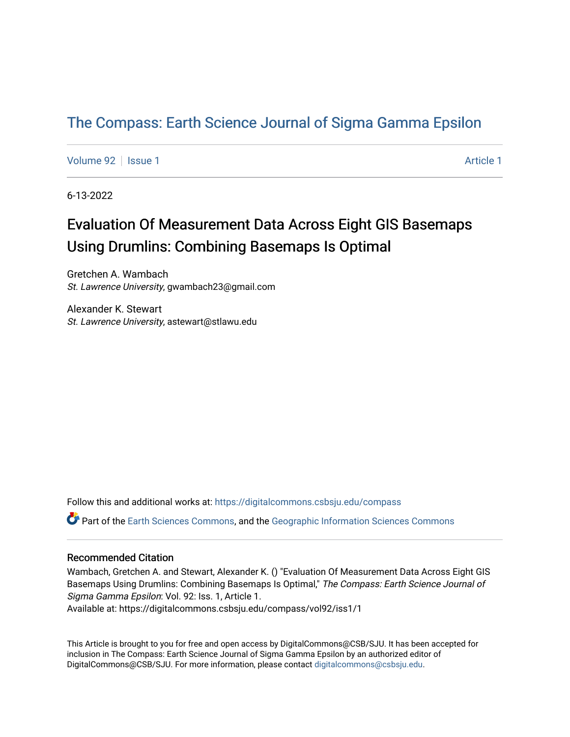# [The Compass: Earth Science Journal of Sigma Gamma Epsilon](https://digitalcommons.csbsju.edu/compass)

[Volume 92](https://digitalcommons.csbsju.edu/compass/vol92) | [Issue 1](https://digitalcommons.csbsju.edu/compass/vol92/iss1) [Article 1](https://digitalcommons.csbsju.edu/compass/vol92/iss1/1) Article 1 Article 1 Article 1 Article 1 Article 1 Article 1 Article 1 Article 1

6-13-2022

# Evaluation Of Measurement Data Across Eight GIS Basemaps Using Drumlins: Combining Basemaps Is Optimal

Gretchen A. Wambach St. Lawrence University, gwambach23@gmail.com

Alexander K. Stewart St. Lawrence University, astewart@stlawu.edu

Follow this and additional works at: [https://digitalcommons.csbsju.edu/compass](https://digitalcommons.csbsju.edu/compass?utm_source=digitalcommons.csbsju.edu%2Fcompass%2Fvol92%2Fiss1%2F1&utm_medium=PDF&utm_campaign=PDFCoverPages)

Part of the [Earth Sciences Commons,](https://network.bepress.com/hgg/discipline/153?utm_source=digitalcommons.csbsju.edu%2Fcompass%2Fvol92%2Fiss1%2F1&utm_medium=PDF&utm_campaign=PDFCoverPages) and the [Geographic Information Sciences Commons](https://network.bepress.com/hgg/discipline/358?utm_source=digitalcommons.csbsju.edu%2Fcompass%2Fvol92%2Fiss1%2F1&utm_medium=PDF&utm_campaign=PDFCoverPages)

#### Recommended Citation

Wambach, Gretchen A. and Stewart, Alexander K. () "Evaluation Of Measurement Data Across Eight GIS Basemaps Using Drumlins: Combining Basemaps Is Optimal," The Compass: Earth Science Journal of Sigma Gamma Epsilon: Vol. 92: Iss. 1, Article 1. Available at: https://digitalcommons.csbsju.edu/compass/vol92/iss1/1

This Article is brought to you for free and open access by DigitalCommons@CSB/SJU. It has been accepted for inclusion in The Compass: Earth Science Journal of Sigma Gamma Epsilon by an authorized editor of DigitalCommons@CSB/SJU. For more information, please contact [digitalcommons@csbsju.edu](mailto:digitalcommons@csbsju.edu).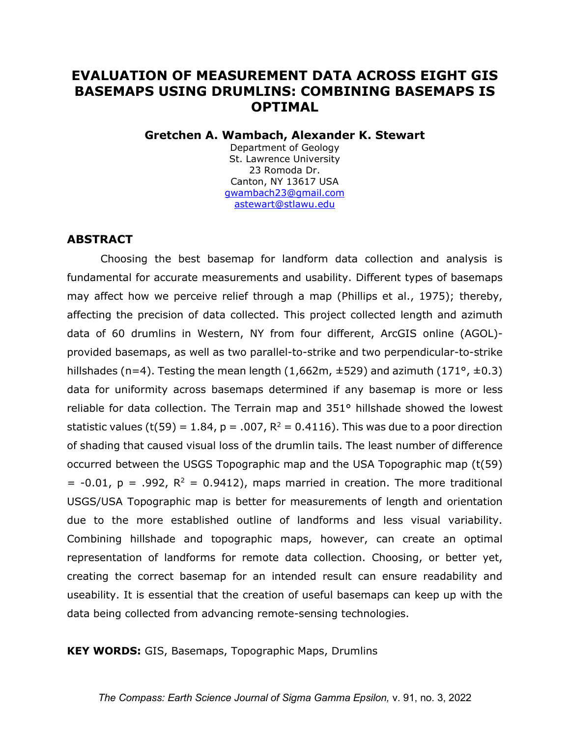# **EVALUATION OF MEASUREMENT DATA ACROSS EIGHT GIS BASEMAPS USING DRUMLINS: COMBINING BASEMAPS IS OPTIMAL**

### **Gretchen A. Wambach, Alexander K. Stewart**

Department of Geology St. Lawrence University 23 Romoda Dr. Canton, NY 13617 USA [gwambach23@gmail.com](mailto:gwambach23@gmail.com) [astewart@stlawu.edu](mailto:astewart@stlawu.edu)

# **ABSTRACT**

Choosing the best basemap for landform data collection and analysis is fundamental for accurate measurements and usability. Different types of basemaps may affect how we perceive relief through a map (Phillips et al., 1975); thereby, affecting the precision of data collected. This project collected length and azimuth data of 60 drumlins in Western, NY from four different, ArcGIS online (AGOL) provided basemaps, as well as two parallel-to-strike and two perpendicular-to-strike hillshades (n=4). Testing the mean length (1,662m,  $\pm$ 529) and azimuth (171°,  $\pm$ 0.3) data for uniformity across basemaps determined if any basemap is more or less reliable for data collection. The Terrain map and 351° hillshade showed the lowest statistic values (t(59) = 1.84, p = .007,  $R^2 = 0.4116$ ). This was due to a poor direction of shading that caused visual loss of the drumlin tails. The least number of difference occurred between the USGS Topographic map and the USA Topographic map (t(59)  $= -0.01$ ,  $p = .992$ ,  $R^2 = 0.9412$ ), maps married in creation. The more traditional USGS/USA Topographic map is better for measurements of length and orientation due to the more established outline of landforms and less visual variability. Combining hillshade and topographic maps, however, can create an optimal representation of landforms for remote data collection. Choosing, or better yet, creating the correct basemap for an intended result can ensure readability and useability. It is essential that the creation of useful basemaps can keep up with the data being collected from advancing remote-sensing technologies.

### **KEY WORDS:** GIS, Basemaps, Topographic Maps, Drumlins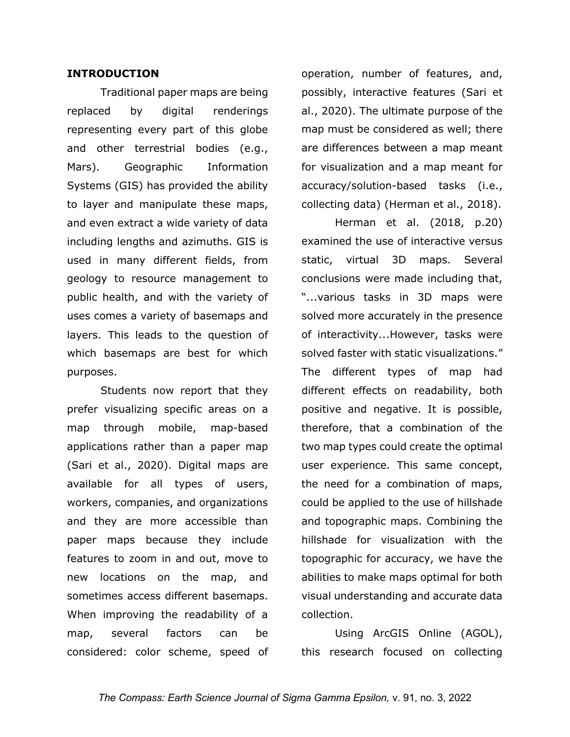### **INTRODUCTION**

Traditional paper maps are being replaced by digital renderings representing every part of this globe and other terrestrial bodies (e.g., Mars). Geographic Information Systems (GIS) has provided the ability to layer and manipulate these maps, and even extract a wide variety of data including lengths and azimuths. GIS is used in many different fields, from geology to resource management to public health, and with the variety of uses comes a variety of basemaps and layers. This leads to the question of which basemaps are best for which purposes.

Students now report that they prefer visualizing specific areas on a map through mobile, map-based applications rather than a paper map (Sari et al., 2020). Digital maps are available for all types of users, workers, companies, and organizations and they are more accessible than paper maps because they include features to zoom in and out, move to new locations on the map, and sometimes access different basemaps. When improving the readability of a map, several factors can be considered: color scheme, speed of operation, number of features, and, possibly, interactive features (Sari et al., 2020). The ultimate purpose of the map must be considered as well; there are differences between a map meant for visualization and a map meant for accuracy/solution-based tasks (i.e., collecting data) (Herman et al., 2018).

Herman et al. (2018, p.20) examined the use of interactive versus static, virtual 3D maps. Several conclusions were made including that, "...various tasks in 3D maps were solved more accurately in the presence of interactivity...However, tasks were solved faster with static visualizations." The different types of map had different effects on readability, both positive and negative. It is possible, therefore, that a combination of the two map types could create the optimal user experience. This same concept, the need for a combination of maps, could be applied to the use of hillshade and topographic maps. Combining the hillshade for visualization with the topographic for accuracy, we have the abilities to make maps optimal for both visual understanding and accurate data collection.

Using ArcGIS Online (AGOL), this research focused on collecting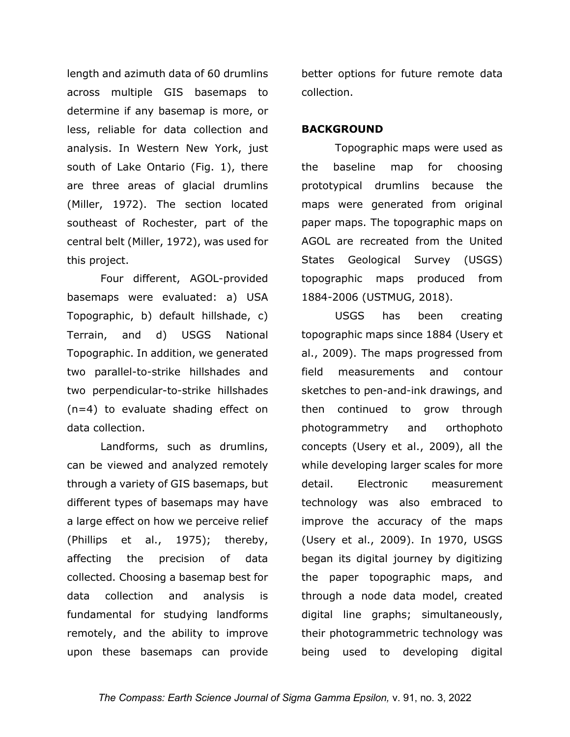length and azimuth data of 60 drumlins across multiple GIS basemaps to determine if any basemap is more, or less, reliable for data collection and analysis. In Western New York, just south of Lake Ontario (Fig. 1), there are three areas of glacial drumlins (Miller, 1972). The section located southeast of Rochester, part of the central belt (Miller, 1972), was used for this project.

Four different, AGOL-provided basemaps were evaluated: a) USA Topographic, b) default hillshade, c) Terrain, and d) USGS National Topographic. In addition, we generated two parallel-to-strike hillshades and two perpendicular-to-strike hillshades (n=4) to evaluate shading effect on data collection.

Landforms, such as drumlins, can be viewed and analyzed remotely through a variety of GIS basemaps, but different types of basemaps may have a large effect on how we perceive relief (Phillips et al., 1975); thereby, affecting the precision of data collected. Choosing a basemap best for data collection and analysis is fundamental for studying landforms remotely, and the ability to improve upon these basemaps can provide

better options for future remote data collection.

# **BACKGROUND**

Topographic maps were used as the baseline map for choosing prototypical drumlins because the maps were generated from original paper maps. The topographic maps on AGOL are recreated from the United States Geological Survey (USGS) topographic maps produced from 1884-2006 (USTMUG, 2018).

USGS has been creating topographic maps since 1884 (Usery et al., 2009). The maps progressed from field measurements and contour sketches to pen-and-ink drawings, and then continued to grow through photogrammetry and orthophoto concepts (Usery et al., 2009), all the while developing larger scales for more detail. Electronic measurement technology was also embraced to improve the accuracy of the maps (Usery et al., 2009). In 1970, USGS began its digital journey by digitizing the paper topographic maps, and through a node data model, created digital line graphs; simultaneously, their photogrammetric technology was being used to developing digital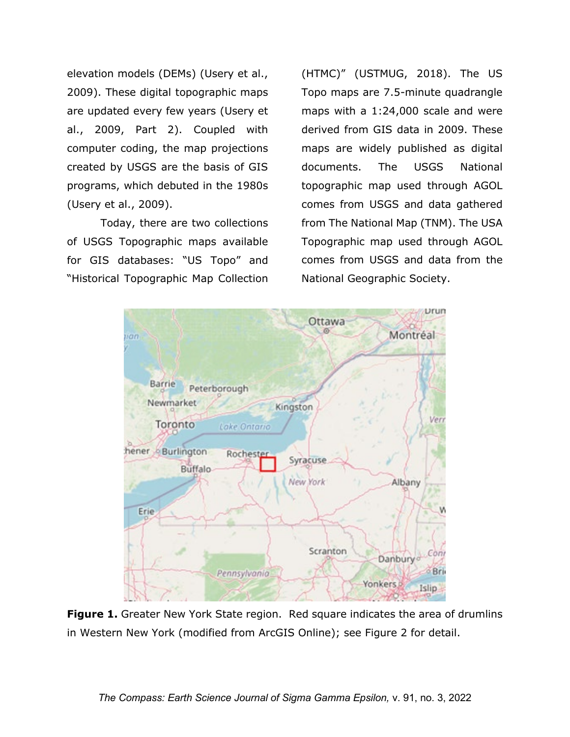elevation models (DEMs) (Usery et al., 2009). These digital topographic maps are updated every few years (Usery et al., 2009, Part 2). Coupled with computer coding, the map projections created by USGS are the basis of GIS programs, which debuted in the 1980s (Usery et al., 2009).

Today, there are two collections of USGS Topographic maps available for GIS databases: "US Topo" and "Historical Topographic Map Collection

(HTMC)" (USTMUG, 2018). The US Topo maps are 7.5-minute quadrangle maps with a 1:24,000 scale and were derived from GIS data in 2009. These maps are widely published as digital documents. The USGS National topographic map used through AGOL comes from USGS and data gathered from The National Map (TNM). The USA Topographic map used through AGOL comes from USGS and data from the National Geographic Society.



**Figure 1.** Greater New York State region. Red square indicates the area of drumlins in Western New York (modified from ArcGIS Online); see Figure 2 for detail.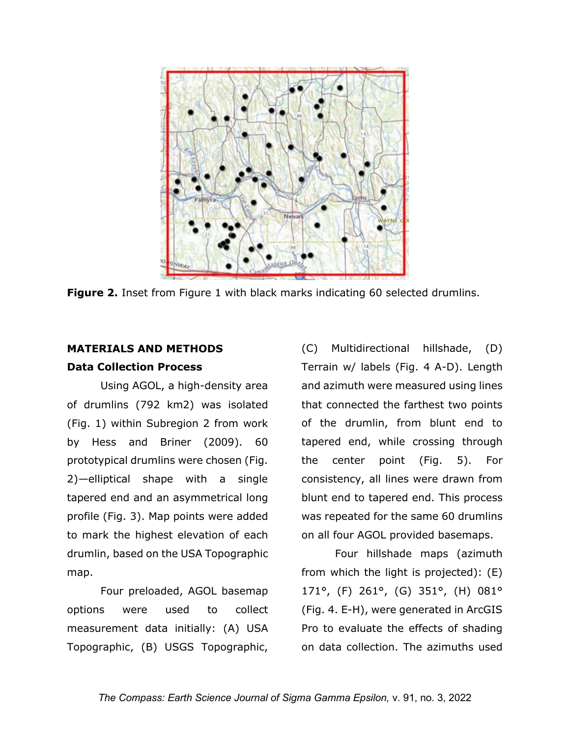

**Figure 2.** Inset from Figure 1 with black marks indicating 60 selected drumlins.

# **MATERIALS AND METHODS**

# **Data Collection Process**

Using AGOL, a high-density area of drumlins (792 km2) was isolated (Fig. 1) within Subregion 2 from work by Hess and Briner (2009). 60 prototypical drumlins were chosen (Fig. 2)—elliptical shape with a single tapered end and an asymmetrical long profile (Fig. 3). Map points were added to mark the highest elevation of each drumlin, based on the USA Topographic map.

Four preloaded, AGOL basemap options were used to collect measurement data initially: (A) USA Topographic, (B) USGS Topographic,

(C) Multidirectional hillshade, (D) Terrain w/ labels (Fig. 4 A-D). Length and azimuth were measured using lines that connected the farthest two points of the drumlin, from blunt end to tapered end, while crossing through the center point (Fig. 5). For consistency, all lines were drawn from blunt end to tapered end. This process was repeated for the same 60 drumlins on all four AGOL provided basemaps.

Four hillshade maps (azimuth from which the light is projected): (E) 171°, (F) 261°, (G) 351°, (H) 081° (Fig. 4. E-H), were generated in ArcGIS Pro to evaluate the effects of shading on data collection. The azimuths used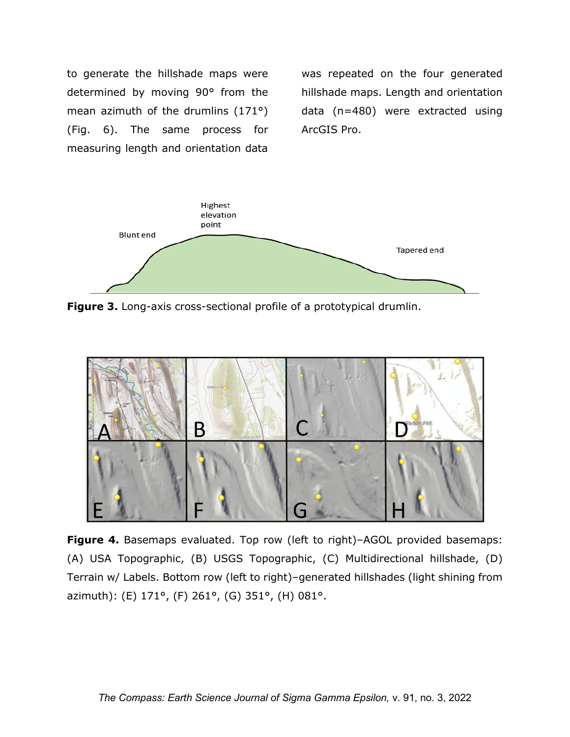to generate the hillshade maps were determined by moving 90° from the mean azimuth of the drumlins (171°) (Fig. 6). The same process for measuring length and orientation data

was repeated on the four generated hillshade maps. Length and orientation data (n=480) were extracted using ArcGIS Pro.



**Figure 3.** Long-axis cross-sectional profile of a prototypical drumlin.



**Figure 4.** Basemaps evaluated. Top row (left to right)–AGOL provided basemaps: (A) USA Topographic, (B) USGS Topographic, (C) Multidirectional hillshade, (D) Terrain w/ Labels. Bottom row (left to right)–generated hillshades (light shining from azimuth): (E) 171°, (F) 261°, (G) 351°, (H) 081°.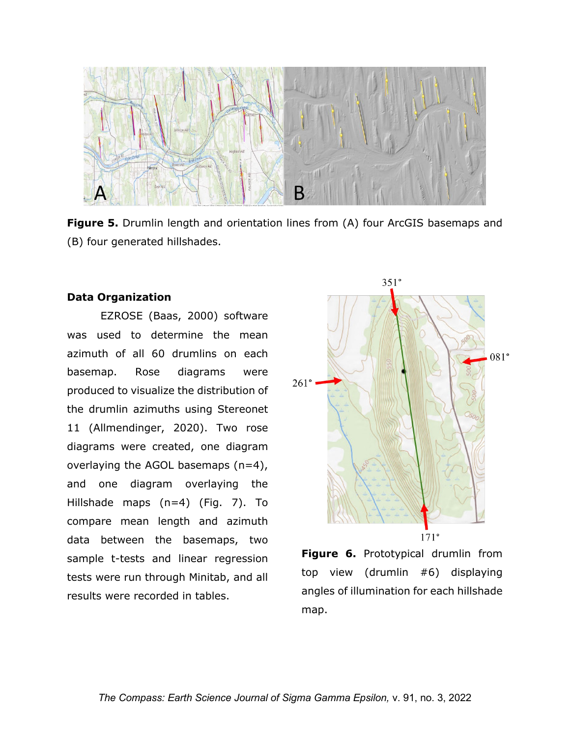

**Figure 5.** Drumlin length and orientation lines from (A) four ArcGIS basemaps and (B) four generated hillshades.

# **Data Organization**

EZROSE (Baas, 2000) software was used to determine the mean azimuth of all 60 drumlins on each basemap. Rose diagrams were produced to visualize the distribution of the drumlin azimuths using Stereonet 11 (Allmendinger, 2020). Two rose diagrams were created, one diagram overlaying the AGOL basemaps  $(n=4)$ , and one diagram overlaying the Hillshade maps (n=4) (Fig. 7). To compare mean length and azimuth data between the basemaps, two sample t-tests and linear regression tests were run through Minitab, and all results were recorded in tables.



**Figure 6.** Prototypical drumlin from top view (drumlin #6) displaying angles of illumination for each hillshade map.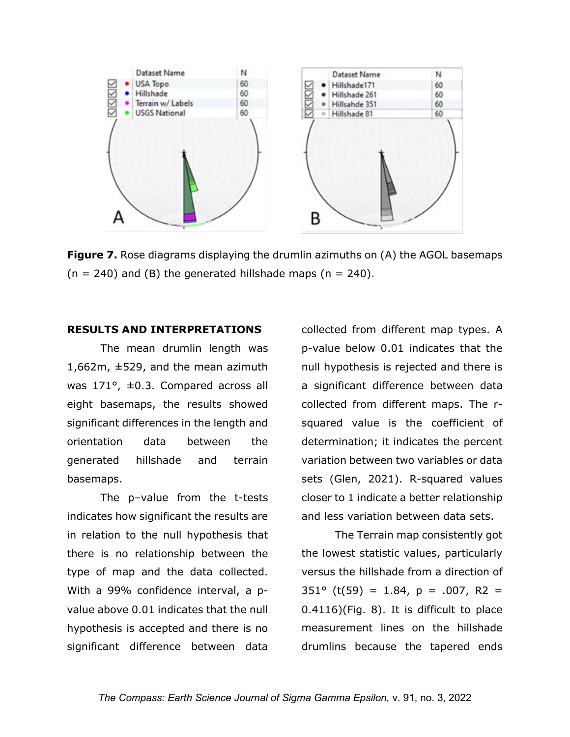

**Figure 7.** Rose diagrams displaying the drumlin azimuths on (A) the AGOL basemaps  $(n = 240)$  and (B) the generated hillshade maps  $(n = 240)$ .

## **RESULTS AND INTERPRETATIONS**

The mean drumlin length was 1,662m, ±529, and the mean azimuth was 171°, ±0.3. Compared across all eight basemaps, the results showed significant differences in the length and orientation data between the generated hillshade and terrain basemaps.

The p–value from the t-tests indicates how significant the results are in relation to the null hypothesis that there is no relationship between the type of map and the data collected. With a 99% confidence interval, a pvalue above 0.01 indicates that the null hypothesis is accepted and there is no significant difference between data

collected from different map types. A p-value below 0.01 indicates that the null hypothesis is rejected and there is a significant difference between data collected from different maps. The rsquared value is the coefficient of determination; it indicates the percent variation between two variables or data sets (Glen, 2021). R-squared values closer to 1 indicate a better relationship and less variation between data sets.

The Terrain map consistently got the lowest statistic values, particularly versus the hillshade from a direction of  $351^{\circ}$  (t(59) = 1.84, p = .007, R2 = 0.4116)(Fig. 8). It is difficult to place measurement lines on the hillshade drumlins because the tapered ends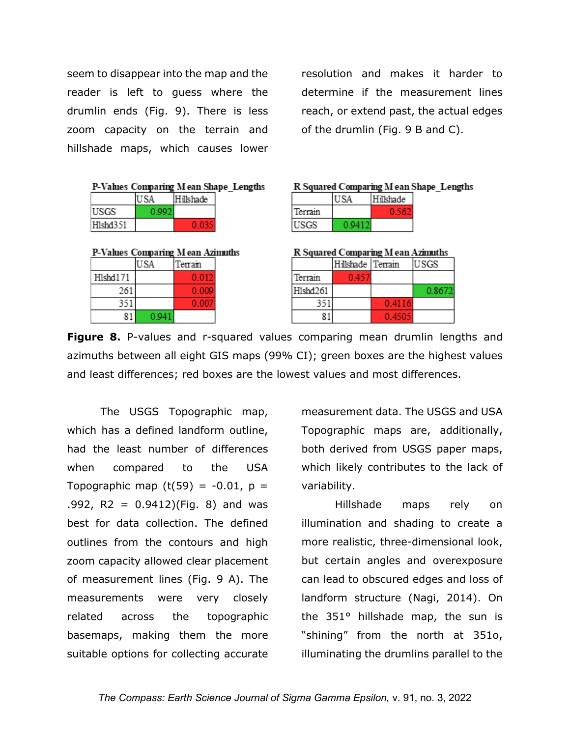seem to disappear into the map and the reader is left to guess where the drumlin ends (Fig. 9). There is less zoom capacity on the terrain and hillshade maps, which causes lower

resolution and makes it harder to determine if the measurement lines reach, or extend past, the actual edges of the drumlin (Fig. 9 B and C).

|  |  | P-Values Comparing Mean Shape_Lengths |  |
|--|--|---------------------------------------|--|
|--|--|---------------------------------------|--|

|          | Hilshade |
|----------|----------|
| USGS     |          |
| Hishd351 |          |

P-Values Comparing M ean Azimuths

|          | USA   | `errain |
|----------|-------|---------|
| H1shd171 |       | 0.012   |
| 261      |       | 0.009   |
| 351      |       | 0 OO7   |
|          | በ 041 |         |

#### R Squared Comparing M ean Shape Lengths

|         | l Hilkhade |
|---------|------------|
| Terrain |            |
| USGS    |            |

R Squared Comparing M ean Azimuths

|          | Hilshade Terrain |        | USGS   |
|----------|------------------|--------|--------|
| Terrain  | 0457             |        |        |
| H1shd261 |                  |        | 0.8672 |
| 351      |                  | 0.4116 |        |
|          |                  | 0.4505 |        |

**Figure 8.** P-values and r-squared values comparing mean drumlin lengths and azimuths between all eight GIS maps (99% CI); green boxes are the highest values and least differences; red boxes are the lowest values and most differences.

The USGS Topographic map, which has a defined landform outline, had the least number of differences when compared to the USA Topographic map  $(t(59) = -0.01, p =$  $.992, R2 = 0.9412$ )(Fig. 8) and was best for data collection. The defined outlines from the contours and high zoom capacity allowed clear placement of measurement lines (Fig. 9 A). The measurements were very closely related across the topographic basemaps, making them the more suitable options for collecting accurate measurement data. The USGS and USA Topographic maps are, additionally, both derived from USGS paper maps, which likely contributes to the lack of variability.

Hillshade maps rely on illumination and shading to create a more realistic, three-dimensional look, but certain angles and overexposure can lead to obscured edges and loss of landform structure (Nagi, 2014). On the 351° hillshade map, the sun is "shining" from the north at 351o, illuminating the drumlins parallel to the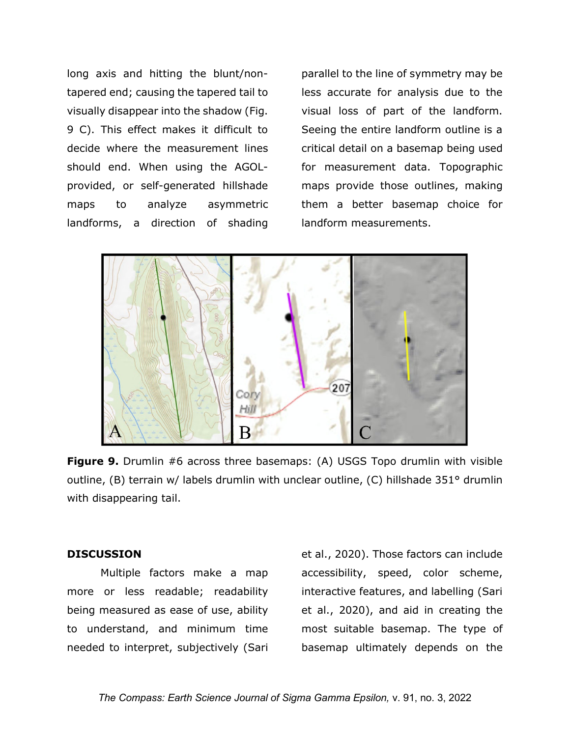long axis and hitting the blunt/nontapered end; causing the tapered tail to visually disappear into the shadow (Fig. 9 C). This effect makes it difficult to decide where the measurement lines should end. When using the AGOLprovided, or self-generated hillshade maps to analyze asymmetric landforms, a direction of shading parallel to the line of symmetry may be less accurate for analysis due to the visual loss of part of the landform. Seeing the entire landform outline is a critical detail on a basemap being used for measurement data. Topographic maps provide those outlines, making them a better basemap choice for landform measurements.



**Figure 9.** Drumlin #6 across three basemaps: (A) USGS Topo drumlin with visible outline, (B) terrain w/ labels drumlin with unclear outline, (C) hillshade 351° drumlin with disappearing tail.

## **DISCUSSION**

Multiple factors make a map more or less readable; readability being measured as ease of use, ability to understand, and minimum time needed to interpret, subjectively (Sari et al., 2020). Those factors can include accessibility, speed, color scheme, interactive features, and labelling (Sari et al., 2020), and aid in creating the most suitable basemap. The type of basemap ultimately depends on the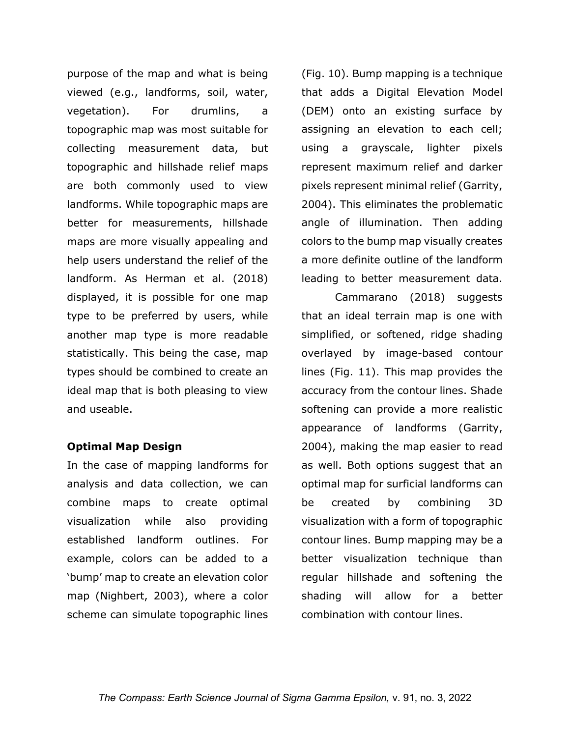purpose of the map and what is being viewed (e.g., landforms, soil, water, vegetation). For drumlins, a topographic map was most suitable for collecting measurement data, but topographic and hillshade relief maps are both commonly used to view landforms. While topographic maps are better for measurements, hillshade maps are more visually appealing and help users understand the relief of the landform. As Herman et al. (2018) displayed, it is possible for one map type to be preferred by users, while another map type is more readable statistically. This being the case, map types should be combined to create an ideal map that is both pleasing to view and useable.

# **Optimal Map Design**

In the case of mapping landforms for analysis and data collection, we can combine maps to create optimal visualization while also providing established landform outlines. For example, colors can be added to a 'bump' map to create an elevation color map (Nighbert, 2003), where a color scheme can simulate topographic lines

(Fig. 10). Bump mapping is a technique that adds a Digital Elevation Model (DEM) onto an existing surface by assigning an elevation to each cell; using a grayscale, lighter pixels represent maximum relief and darker pixels represent minimal relief (Garrity, 2004). This eliminates the problematic angle of illumination. Then adding colors to the bump map visually creates a more definite outline of the landform leading to better measurement data.

Cammarano (2018) suggests that an ideal terrain map is one with simplified, or softened, ridge shading overlayed by image-based contour lines (Fig. 11). This map provides the accuracy from the contour lines. Shade softening can provide a more realistic appearance of landforms (Garrity, 2004), making the map easier to read as well. Both options suggest that an optimal map for surficial landforms can be created by combining 3D visualization with a form of topographic contour lines. Bump mapping may be a better visualization technique than regular hillshade and softening the shading will allow for a better combination with contour lines.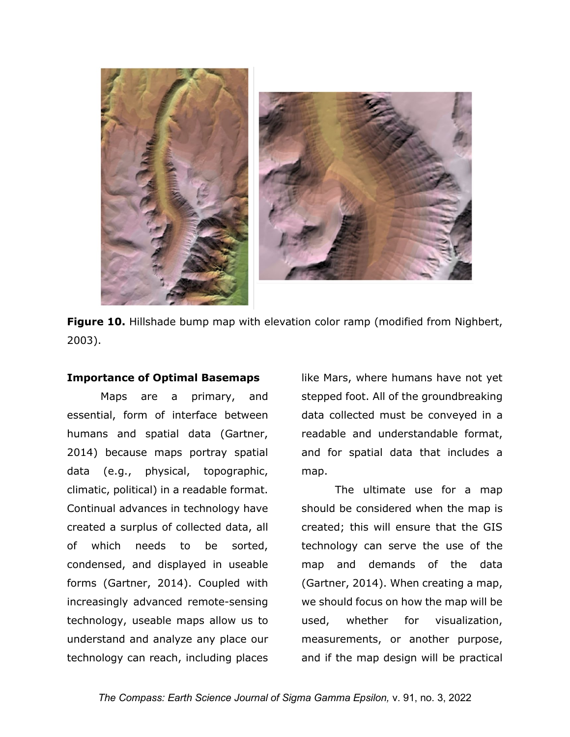

Figure 10. Hillshade bump map with elevation color ramp (modified from Nighbert, 2003).

### **Importance of Optimal Basemaps**

Maps are a primary, and essential, form of interface between humans and spatial data (Gartner, 2014) because maps portray spatial data (e.g., physical, topographic, climatic, political) in a readable format. Continual advances in technology have created a surplus of collected data, all of which needs to be sorted, condensed, and displayed in useable forms (Gartner, 2014). Coupled with increasingly advanced remote-sensing technology, useable maps allow us to understand and analyze any place our technology can reach, including places

like Mars, where humans have not yet stepped foot. All of the groundbreaking data collected must be conveyed in a readable and understandable format, and for spatial data that includes a map.

The ultimate use for a map should be considered when the map is created; this will ensure that the GIS technology can serve the use of the map and demands of the data (Gartner, 2014). When creating a map, we should focus on how the map will be used, whether for visualization, measurements, or another purpose, and if the map design will be practical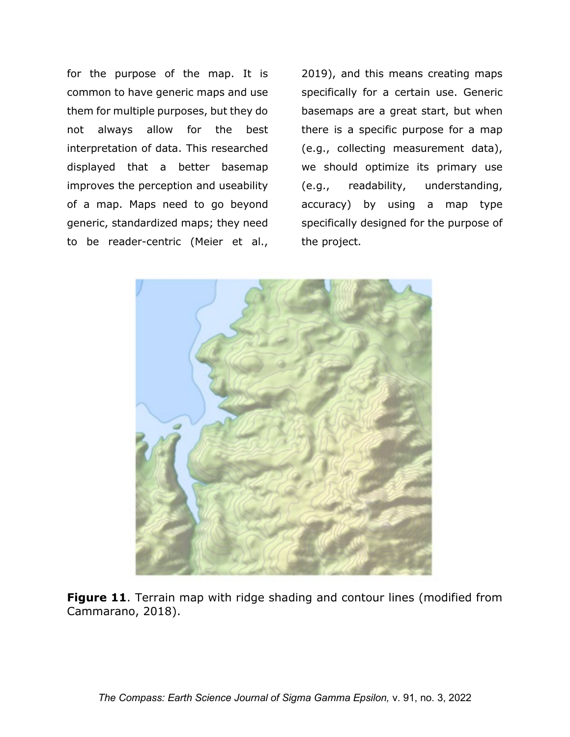for the purpose of the map. It is common to have generic maps and use them for multiple purposes, but they do not always allow for the best interpretation of data. This researched displayed that a better basemap improves the perception and useability of a map. Maps need to go beyond generic, standardized maps; they need to be reader-centric (Meier et al.,

2019), and this means creating maps specifically for a certain use. Generic basemaps are a great start, but when there is a specific purpose for a map (e.g., collecting measurement data), we should optimize its primary use (e.g., readability, understanding, accuracy) by using a map type specifically designed for the purpose of the project.



**Figure 11.** Terrain map with ridge shading and contour lines (modified from Cammarano, 2018).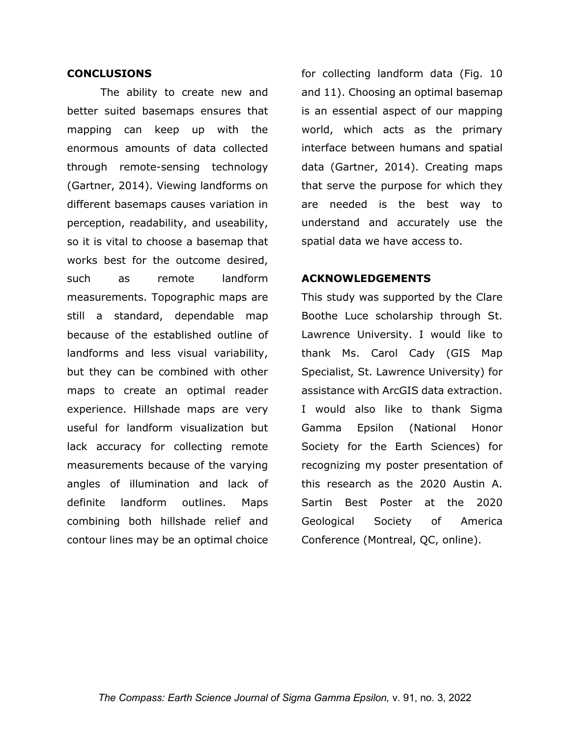#### **CONCLUSIONS**

The ability to create new and better suited basemaps ensures that mapping can keep up with the enormous amounts of data collected through remote-sensing technology (Gartner, 2014). Viewing landforms on different basemaps causes variation in perception, readability, and useability, so it is vital to choose a basemap that works best for the outcome desired, such as remote landform measurements. Topographic maps are still a standard, dependable map because of the established outline of landforms and less visual variability, but they can be combined with other maps to create an optimal reader experience. Hillshade maps are very useful for landform visualization but lack accuracy for collecting remote measurements because of the varying angles of illumination and lack of definite landform outlines. Maps combining both hillshade relief and contour lines may be an optimal choice

for collecting landform data (Fig. 10 and 11). Choosing an optimal basemap is an essential aspect of our mapping world, which acts as the primary interface between humans and spatial data (Gartner, 2014). Creating maps that serve the purpose for which they are needed is the best way to understand and accurately use the spatial data we have access to.

# **ACKNOWLEDGEMENTS**

This study was supported by the Clare Boothe Luce scholarship through St. Lawrence University. I would like to thank Ms. Carol Cady (GIS Map Specialist, St. Lawrence University) for assistance with ArcGIS data extraction. I would also like to thank Sigma Gamma Epsilon (National Honor Society for the Earth Sciences) for recognizing my poster presentation of this research as the 2020 Austin A. Sartin Best Poster at the 2020 Geological Society of America Conference (Montreal, QC, online).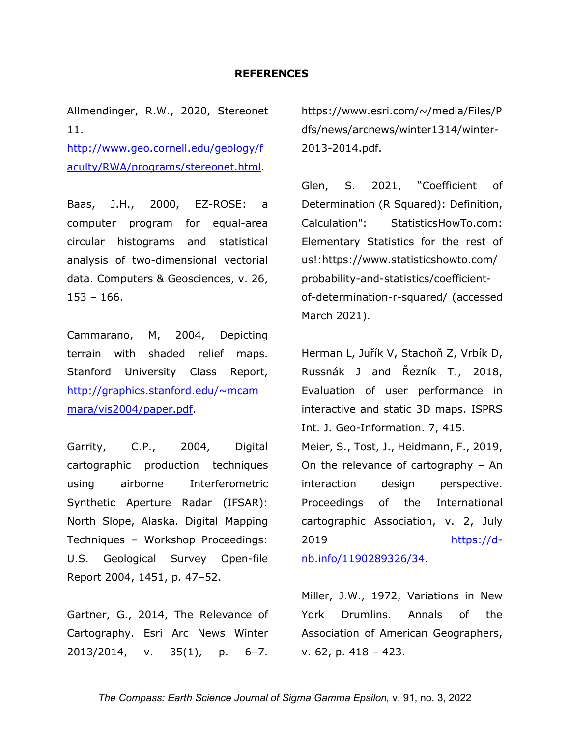#### **REFERENCES**

Allmendinger, R.W., 2020, Stereonet 11.

[http://www.geo.cornell.edu/geology/f](http://www.geo.cornell.edu/geology/faculty/RWA/programs/stereonet.html) [aculty/RWA/programs/stereonet.html.](http://www.geo.cornell.edu/geology/faculty/RWA/programs/stereonet.html)

Baas, J.H., 2000, EZ-ROSE: a computer program for equal-area circular histograms and statistical analysis of two-dimensional vectorial data. Computers & Geosciences, v. 26, 153 – 166.

Cammarano, M, 2004, Depicting terrain with shaded relief maps. Stanford University Class Report, [http://graphics.stanford.edu/~mcam](http://graphics.stanford.edu/%7Emcammara/vis2004/paper.pdf) [mara/vis2004/paper.pdf.](http://graphics.stanford.edu/%7Emcammara/vis2004/paper.pdf)

Garrity, C.P., 2004, Digital cartographic production techniques using airborne Interferometric Synthetic Aperture Radar (IFSAR): North Slope, Alaska. Digital Mapping Techniques – Workshop Proceedings: U.S. Geological Survey Open-file Report 2004, 1451, p. 47–52.

Gartner, G., 2014, The Relevance of Cartography. Esri Arc News Winter 2013/2014, v. 35(1), p. 6–7.

https://www.esri.com/~/media/Files/P dfs/news/arcnews/winter1314/winter-2013-2014.pdf.

Glen, S. 2021, "Coefficient of Determination (R Squared): Definition, Calculation": StatisticsHowTo.com: Elementary Statistics for the rest of us!:https://www.statisticshowto.com/ probability-and-statistics/coefficientof-determination-r-squared/ (accessed March 2021).

Herman L, Juřík V, Stachoň Z, Vrbík D, Russnák J and Řezník T., 2018, Evaluation of user performance in interactive and static 3D maps. ISPRS Int. J. Geo-Information. 7, 415. Meier, S., Tost, J., Heidmann, F., 2019, On the relevance of cartography – An interaction design perspective. Proceedings of the International cartographic Association, v. 2, July 2019 [https://d](https://d-nb.info/1190289326/34)[nb.info/1190289326/34.](https://d-nb.info/1190289326/34)

Miller, J.W., 1972, Variations in New York Drumlins. Annals of the Association of American Geographers, v. 62, p. 418 – 423.